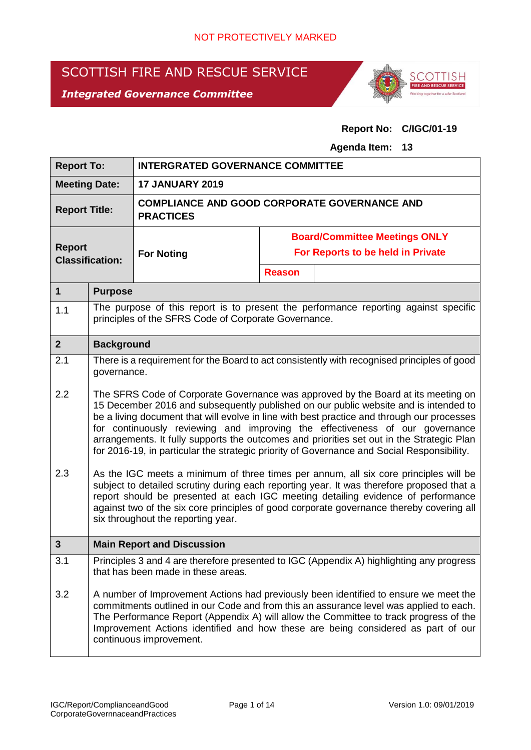# SCOTTISH FIRE AND RESCUE SERVICE

# *Integrated Governance Committee*



**Report No: C/IGC/01-19**

#### **Agenda Item: 13**

| <b>Report To:</b>                                                                                                                                                                                                                                                                                                                                                                                                                                                                                                                                                                                         |                                                                                                                                | <b>INTERGRATED GOVERNANCE COMMITTEE</b>                                                                                                                                                                                                                                                                                                                                                                                                                |                                      |                                                                                                                                                                                                                                                                                                                                                             |  |  |
|-----------------------------------------------------------------------------------------------------------------------------------------------------------------------------------------------------------------------------------------------------------------------------------------------------------------------------------------------------------------------------------------------------------------------------------------------------------------------------------------------------------------------------------------------------------------------------------------------------------|--------------------------------------------------------------------------------------------------------------------------------|--------------------------------------------------------------------------------------------------------------------------------------------------------------------------------------------------------------------------------------------------------------------------------------------------------------------------------------------------------------------------------------------------------------------------------------------------------|--------------------------------------|-------------------------------------------------------------------------------------------------------------------------------------------------------------------------------------------------------------------------------------------------------------------------------------------------------------------------------------------------------------|--|--|
| <b>Meeting Date:</b>                                                                                                                                                                                                                                                                                                                                                                                                                                                                                                                                                                                      |                                                                                                                                | <b>17 JANUARY 2019</b>                                                                                                                                                                                                                                                                                                                                                                                                                                 |                                      |                                                                                                                                                                                                                                                                                                                                                             |  |  |
| <b>Report Title:</b>                                                                                                                                                                                                                                                                                                                                                                                                                                                                                                                                                                                      |                                                                                                                                | <b>COMPLIANCE AND GOOD CORPORATE GOVERNANCE AND</b><br><b>PRACTICES</b>                                                                                                                                                                                                                                                                                                                                                                                |                                      |                                                                                                                                                                                                                                                                                                                                                             |  |  |
|                                                                                                                                                                                                                                                                                                                                                                                                                                                                                                                                                                                                           |                                                                                                                                |                                                                                                                                                                                                                                                                                                                                                                                                                                                        | <b>Board/Committee Meetings ONLY</b> |                                                                                                                                                                                                                                                                                                                                                             |  |  |
| <b>Report</b>                                                                                                                                                                                                                                                                                                                                                                                                                                                                                                                                                                                             | <b>Classification:</b>                                                                                                         | <b>For Noting</b>                                                                                                                                                                                                                                                                                                                                                                                                                                      |                                      | For Reports to be held in Private                                                                                                                                                                                                                                                                                                                           |  |  |
|                                                                                                                                                                                                                                                                                                                                                                                                                                                                                                                                                                                                           |                                                                                                                                |                                                                                                                                                                                                                                                                                                                                                                                                                                                        | <b>Reason</b>                        |                                                                                                                                                                                                                                                                                                                                                             |  |  |
| $\mathbf{1}$                                                                                                                                                                                                                                                                                                                                                                                                                                                                                                                                                                                              | <b>Purpose</b>                                                                                                                 |                                                                                                                                                                                                                                                                                                                                                                                                                                                        |                                      |                                                                                                                                                                                                                                                                                                                                                             |  |  |
| 1.1                                                                                                                                                                                                                                                                                                                                                                                                                                                                                                                                                                                                       |                                                                                                                                | principles of the SFRS Code of Corporate Governance.                                                                                                                                                                                                                                                                                                                                                                                                   |                                      | The purpose of this report is to present the performance reporting against specific                                                                                                                                                                                                                                                                         |  |  |
| 2 <sup>2</sup>                                                                                                                                                                                                                                                                                                                                                                                                                                                                                                                                                                                            | <b>Background</b>                                                                                                              |                                                                                                                                                                                                                                                                                                                                                                                                                                                        |                                      |                                                                                                                                                                                                                                                                                                                                                             |  |  |
| 2.1<br>governance.<br>2.2                                                                                                                                                                                                                                                                                                                                                                                                                                                                                                                                                                                 |                                                                                                                                | There is a requirement for the Board to act consistently with recognised principles of good<br>The SFRS Code of Corporate Governance was approved by the Board at its meeting on<br>15 December 2016 and subsequently published on our public website and is intended to<br>be a living document that will evolve in line with best practice and through our processes<br>for continuously reviewing and improving the effectiveness of our governance |                                      |                                                                                                                                                                                                                                                                                                                                                             |  |  |
| arrangements. It fully supports the outcomes and priorities set out in the Strategic Plan<br>for 2016-19, in particular the strategic priority of Governance and Social Responsibility.<br>2.3<br>As the IGC meets a minimum of three times per annum, all six core principles will be<br>subject to detailed scrutiny during each reporting year. It was therefore proposed that a<br>report should be presented at each IGC meeting detailing evidence of performance<br>against two of the six core principles of good corporate governance thereby covering all<br>six throughout the reporting year. |                                                                                                                                |                                                                                                                                                                                                                                                                                                                                                                                                                                                        |                                      |                                                                                                                                                                                                                                                                                                                                                             |  |  |
| 3                                                                                                                                                                                                                                                                                                                                                                                                                                                                                                                                                                                                         |                                                                                                                                | <b>Main Report and Discussion</b>                                                                                                                                                                                                                                                                                                                                                                                                                      |                                      |                                                                                                                                                                                                                                                                                                                                                             |  |  |
| 3.1                                                                                                                                                                                                                                                                                                                                                                                                                                                                                                                                                                                                       | Principles 3 and 4 are therefore presented to IGC (Appendix A) highlighting any progress<br>that has been made in these areas. |                                                                                                                                                                                                                                                                                                                                                                                                                                                        |                                      |                                                                                                                                                                                                                                                                                                                                                             |  |  |
| 3.2                                                                                                                                                                                                                                                                                                                                                                                                                                                                                                                                                                                                       |                                                                                                                                | continuous improvement.                                                                                                                                                                                                                                                                                                                                                                                                                                |                                      | A number of Improvement Actions had previously been identified to ensure we meet the<br>commitments outlined in our Code and from this an assurance level was applied to each.<br>The Performance Report (Appendix A) will allow the Committee to track progress of the<br>Improvement Actions identified and how these are being considered as part of our |  |  |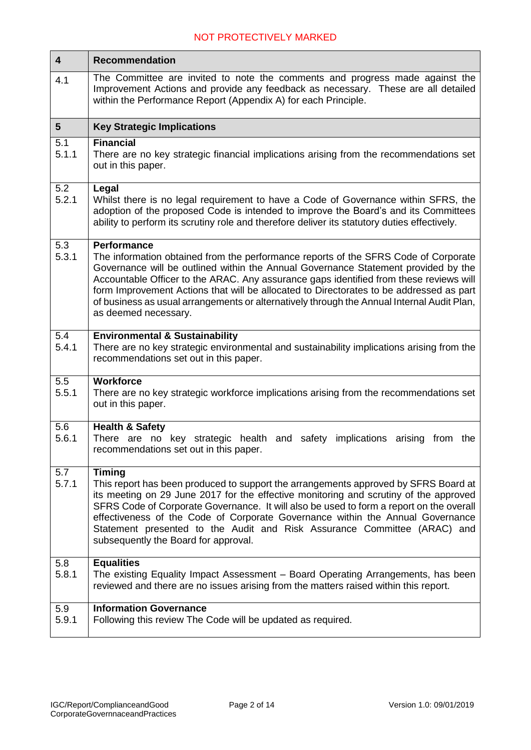| $\overline{\mathbf{4}}$ | <b>Recommendation</b>                                                                                                                                                                                                                                                                                                                                                                                                                                                                                      |
|-------------------------|------------------------------------------------------------------------------------------------------------------------------------------------------------------------------------------------------------------------------------------------------------------------------------------------------------------------------------------------------------------------------------------------------------------------------------------------------------------------------------------------------------|
| 4.1                     | The Committee are invited to note the comments and progress made against the<br>Improvement Actions and provide any feedback as necessary. These are all detailed<br>within the Performance Report (Appendix A) for each Principle.                                                                                                                                                                                                                                                                        |
| $5\phantom{1}$          | <b>Key Strategic Implications</b>                                                                                                                                                                                                                                                                                                                                                                                                                                                                          |
| 5.1<br>5.1.1            | <b>Financial</b><br>There are no key strategic financial implications arising from the recommendations set<br>out in this paper.                                                                                                                                                                                                                                                                                                                                                                           |
| 5.2<br>5.2.1            | Legal<br>Whilst there is no legal requirement to have a Code of Governance within SFRS, the<br>adoption of the proposed Code is intended to improve the Board's and its Committees<br>ability to perform its scrutiny role and therefore deliver its statutory duties effectively.                                                                                                                                                                                                                         |
| 5.3<br>5.3.1            | <b>Performance</b><br>The information obtained from the performance reports of the SFRS Code of Corporate<br>Governance will be outlined within the Annual Governance Statement provided by the<br>Accountable Officer to the ARAC. Any assurance gaps identified from these reviews will<br>form Improvement Actions that will be allocated to Directorates to be addressed as part<br>of business as usual arrangements or alternatively through the Annual Internal Audit Plan,<br>as deemed necessary. |
| 5.4<br>5.4.1            | <b>Environmental &amp; Sustainability</b><br>There are no key strategic environmental and sustainability implications arising from the<br>recommendations set out in this paper.                                                                                                                                                                                                                                                                                                                           |
| 5.5<br>5.5.1            | <b>Workforce</b><br>There are no key strategic workforce implications arising from the recommendations set<br>out in this paper.                                                                                                                                                                                                                                                                                                                                                                           |
| 5.6<br>5.6.1            | <b>Health &amp; Safety</b><br>There are no key strategic health and safety implications arising from the<br>recommendations set out in this paper.                                                                                                                                                                                                                                                                                                                                                         |
| 5.7<br>5.7.1            | <b>Timing</b><br>This report has been produced to support the arrangements approved by SFRS Board at<br>its meeting on 29 June 2017 for the effective monitoring and scrutiny of the approved<br>SFRS Code of Corporate Governance. It will also be used to form a report on the overall<br>effectiveness of the Code of Corporate Governance within the Annual Governance<br>Statement presented to the Audit and Risk Assurance Committee (ARAC) and<br>subsequently the Board for approval.             |
| 5.8<br>5.8.1            | <b>Equalities</b><br>The existing Equality Impact Assessment - Board Operating Arrangements, has been<br>reviewed and there are no issues arising from the matters raised within this report.                                                                                                                                                                                                                                                                                                              |
| 5.9<br>5.9.1            | <b>Information Governance</b><br>Following this review The Code will be updated as required.                                                                                                                                                                                                                                                                                                                                                                                                               |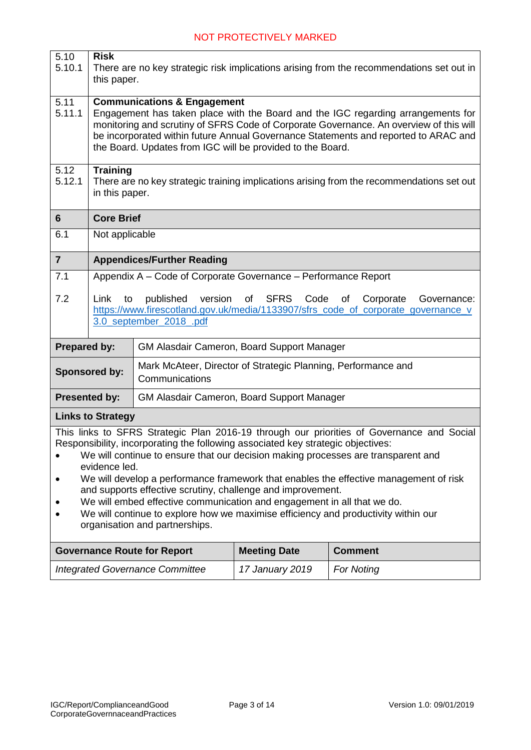| $\overline{5.10}$<br>5.10.1                                                                                                                                                                                                                                                                                                                                                                                                                                                                                                                                                                                                                                 | <b>Risk</b><br>There are no key strategic risk implications arising from the recommendations set out in<br>this paper.                                                                                                                                                                                                                                                    |                                                                                                                                                                                                     |  |  |  |  |
|-------------------------------------------------------------------------------------------------------------------------------------------------------------------------------------------------------------------------------------------------------------------------------------------------------------------------------------------------------------------------------------------------------------------------------------------------------------------------------------------------------------------------------------------------------------------------------------------------------------------------------------------------------------|---------------------------------------------------------------------------------------------------------------------------------------------------------------------------------------------------------------------------------------------------------------------------------------------------------------------------------------------------------------------------|-----------------------------------------------------------------------------------------------------------------------------------------------------------------------------------------------------|--|--|--|--|
| 5.11<br>5.11.1                                                                                                                                                                                                                                                                                                                                                                                                                                                                                                                                                                                                                                              | <b>Communications &amp; Engagement</b><br>Engagement has taken place with the Board and the IGC regarding arrangements for<br>monitoring and scrutiny of SFRS Code of Corporate Governance. An overview of this will<br>be incorporated within future Annual Governance Statements and reported to ARAC and<br>the Board. Updates from IGC will be provided to the Board. |                                                                                                                                                                                                     |  |  |  |  |
| 5.12<br>5.12.1                                                                                                                                                                                                                                                                                                                                                                                                                                                                                                                                                                                                                                              | <b>Training</b><br>in this paper.                                                                                                                                                                                                                                                                                                                                         | There are no key strategic training implications arising from the recommendations set out                                                                                                           |  |  |  |  |
| 6                                                                                                                                                                                                                                                                                                                                                                                                                                                                                                                                                                                                                                                           | <b>Core Brief</b>                                                                                                                                                                                                                                                                                                                                                         |                                                                                                                                                                                                     |  |  |  |  |
| 6.1                                                                                                                                                                                                                                                                                                                                                                                                                                                                                                                                                                                                                                                         | Not applicable                                                                                                                                                                                                                                                                                                                                                            |                                                                                                                                                                                                     |  |  |  |  |
| $\overline{7}$                                                                                                                                                                                                                                                                                                                                                                                                                                                                                                                                                                                                                                              |                                                                                                                                                                                                                                                                                                                                                                           | <b>Appendices/Further Reading</b>                                                                                                                                                                   |  |  |  |  |
| 7.1                                                                                                                                                                                                                                                                                                                                                                                                                                                                                                                                                                                                                                                         |                                                                                                                                                                                                                                                                                                                                                                           | Appendix A - Code of Corporate Governance - Performance Report                                                                                                                                      |  |  |  |  |
| 7.2                                                                                                                                                                                                                                                                                                                                                                                                                                                                                                                                                                                                                                                         | Link<br>to                                                                                                                                                                                                                                                                                                                                                                | published<br>version<br><b>SFRS</b><br>of<br>Code<br>of<br>Corporate<br>Governance:<br>https://www.firescotland.gov.uk/media/1133907/sfrs_code_of_corporate_governance_v<br>3.0_september_2018_.pdf |  |  |  |  |
| <b>Prepared by:</b>                                                                                                                                                                                                                                                                                                                                                                                                                                                                                                                                                                                                                                         |                                                                                                                                                                                                                                                                                                                                                                           | GM Alasdair Cameron, Board Support Manager                                                                                                                                                          |  |  |  |  |
|                                                                                                                                                                                                                                                                                                                                                                                                                                                                                                                                                                                                                                                             | Sponsored by:                                                                                                                                                                                                                                                                                                                                                             | Mark McAteer, Director of Strategic Planning, Performance and<br>Communications                                                                                                                     |  |  |  |  |
| <b>Presented by:</b>                                                                                                                                                                                                                                                                                                                                                                                                                                                                                                                                                                                                                                        |                                                                                                                                                                                                                                                                                                                                                                           | GM Alasdair Cameron, Board Support Manager                                                                                                                                                          |  |  |  |  |
|                                                                                                                                                                                                                                                                                                                                                                                                                                                                                                                                                                                                                                                             | <b>Links to Strategy</b>                                                                                                                                                                                                                                                                                                                                                  |                                                                                                                                                                                                     |  |  |  |  |
| This links to SFRS Strategic Plan 2016-19 through our priorities of Governance and Social<br>Responsibility, incorporating the following associated key strategic objectives:<br>We will continue to ensure that our decision making processes are transparent and<br>$\bullet$<br>evidence led.<br>We will develop a performance framework that enables the effective management of risk<br>and supports effective scrutiny, challenge and improvement.<br>We will embed effective communication and engagement in all that we do.<br>We will continue to explore how we maximise efficiency and productivity within our<br>organisation and partnerships. |                                                                                                                                                                                                                                                                                                                                                                           |                                                                                                                                                                                                     |  |  |  |  |

| <b>Governance Route for Report</b>     | <b>Meeting Date</b> | <b>Comment</b>    |
|----------------------------------------|---------------------|-------------------|
| <b>Integrated Governance Committee</b> | 17 January 2019     | <b>For Noting</b> |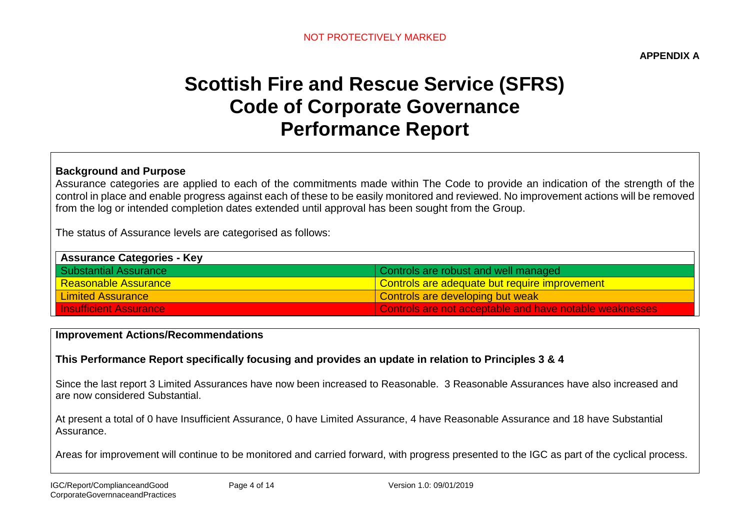**APPENDIX A**

# **Scottish Fire and Rescue Service (SFRS) Code of Corporate Governance Performance Report**

#### **Background and Purpose**

Assurance categories are applied to each of the commitments made within The Code to provide an indication of the strength of the control in place and enable progress against each of these to be easily monitored and reviewed. No improvement actions will be removed from the log or intended completion dates extended until approval has been sought from the Group.

The status of Assurance levels are categorised as follows:

| <b>Assurance Categories - Key</b> |                                                         |
|-----------------------------------|---------------------------------------------------------|
| <b>Substantial Assurance</b>      | Controls are robust and well managed                    |
| Reasonable Assurance              | <u>l Controls are adequate but require improvement</u>  |
| <b>Limited Assurance</b>          | Controls are developing but weak                        |
| <b>Insufficient Assurance</b>     | Controls are not acceptable and have notable weaknesses |

#### **Improvement Actions/Recommendations**

# **This Performance Report specifically focusing and provides an update in relation to Principles 3 & 4**

Since the last report 3 Limited Assurances have now been increased to Reasonable. 3 Reasonable Assurances have also increased and are now considered Substantial.

At present a total of 0 have Insufficient Assurance, 0 have Limited Assurance, 4 have Reasonable Assurance and 18 have Substantial Assurance.

Areas for improvement will continue to be monitored and carried forward, with progress presented to the IGC as part of the cyclical process.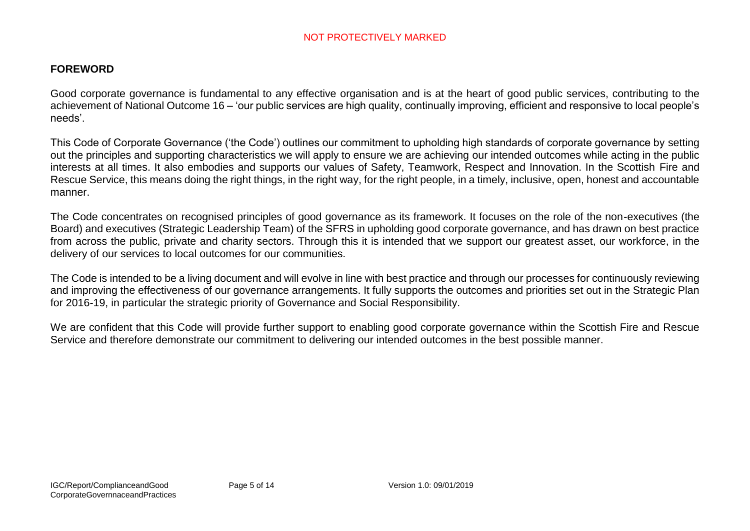#### **FOREWORD**

Good corporate governance is fundamental to any effective organisation and is at the heart of good public services, contributing to the achievement of National Outcome 16 – 'our public services are high quality, continually improving, efficient and responsive to local people's needs'.

This Code of Corporate Governance ('the Code') outlines our commitment to upholding high standards of corporate governance by setting out the principles and supporting characteristics we will apply to ensure we are achieving our intended outcomes while acting in the public interests at all times. It also embodies and supports our values of Safety, Teamwork, Respect and Innovation. In the Scottish Fire and Rescue Service, this means doing the right things, in the right way, for the right people, in a timely, inclusive, open, honest and accountable manner.

The Code concentrates on recognised principles of good governance as its framework. It focuses on the role of the non-executives (the Board) and executives (Strategic Leadership Team) of the SFRS in upholding good corporate governance, and has drawn on best practice from across the public, private and charity sectors. Through this it is intended that we support our greatest asset, our workforce, in the delivery of our services to local outcomes for our communities.

The Code is intended to be a living document and will evolve in line with best practice and through our processes for continuously reviewing and improving the effectiveness of our governance arrangements. It fully supports the outcomes and priorities set out in the Strategic Plan for 2016-19, in particular the strategic priority of Governance and Social Responsibility.

We are confident that this Code will provide further support to enabling good corporate governance within the Scottish Fire and Rescue Service and therefore demonstrate our commitment to delivering our intended outcomes in the best possible manner.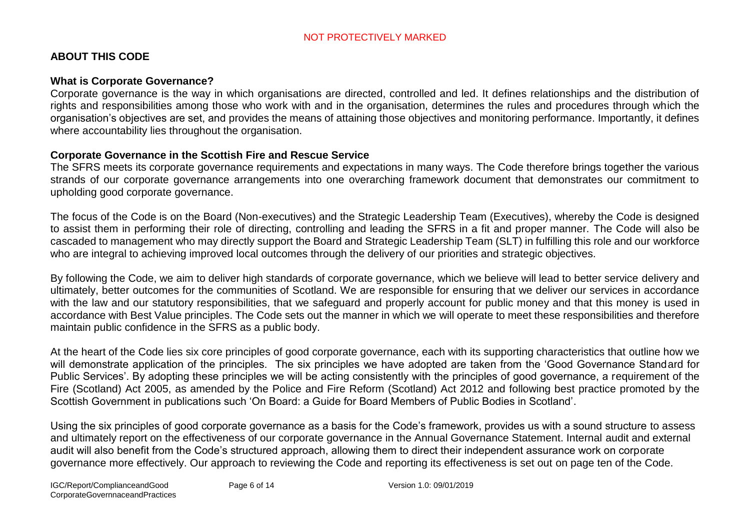# **ABOUT THIS CODE**

#### **What is Corporate Governance?**

Corporate governance is the way in which organisations are directed, controlled and led. It defines relationships and the distribution of rights and responsibilities among those who work with and in the organisation, determines the rules and procedures through which the organisation's objectives are set, and provides the means of attaining those objectives and monitoring performance. Importantly, it defines where accountability lies throughout the organisation.

#### **Corporate Governance in the Scottish Fire and Rescue Service**

The SFRS meets its corporate governance requirements and expectations in many ways. The Code therefore brings together the various strands of our corporate governance arrangements into one overarching framework document that demonstrates our commitment to upholding good corporate governance.

The focus of the Code is on the Board (Non-executives) and the Strategic Leadership Team (Executives), whereby the Code is designed to assist them in performing their role of directing, controlling and leading the SFRS in a fit and proper manner. The Code will also be cascaded to management who may directly support the Board and Strategic Leadership Team (SLT) in fulfilling this role and our workforce who are integral to achieving improved local outcomes through the delivery of our priorities and strategic objectives.

By following the Code, we aim to deliver high standards of corporate governance, which we believe will lead to better service delivery and ultimately, better outcomes for the communities of Scotland. We are responsible for ensuring that we deliver our services in accordance with the law and our statutory responsibilities, that we safeguard and properly account for public money and that this money is used in accordance with Best Value principles. The Code sets out the manner in which we will operate to meet these responsibilities and therefore maintain public confidence in the SFRS as a public body.

At the heart of the Code lies six core principles of good corporate governance, each with its supporting characteristics that outline how we will demonstrate application of the principles. The six principles we have adopted are taken from the 'Good Governance Standard for Public Services'. By adopting these principles we will be acting consistently with the principles of good governance, a requirement of the Fire (Scotland) Act 2005, as amended by the Police and Fire Reform (Scotland) Act 2012 and following best practice promoted by the Scottish Government in publications such 'On Board: a Guide for Board Members of Public Bodies in Scotland'.

Using the six principles of good corporate governance as a basis for the Code's framework, provides us with a sound structure to assess and ultimately report on the effectiveness of our corporate governance in the Annual Governance Statement. Internal audit and external audit will also benefit from the Code's structured approach, allowing them to direct their independent assurance work on corporate governance more effectively. Our approach to reviewing the Code and reporting its effectiveness is set out on page ten of the Code.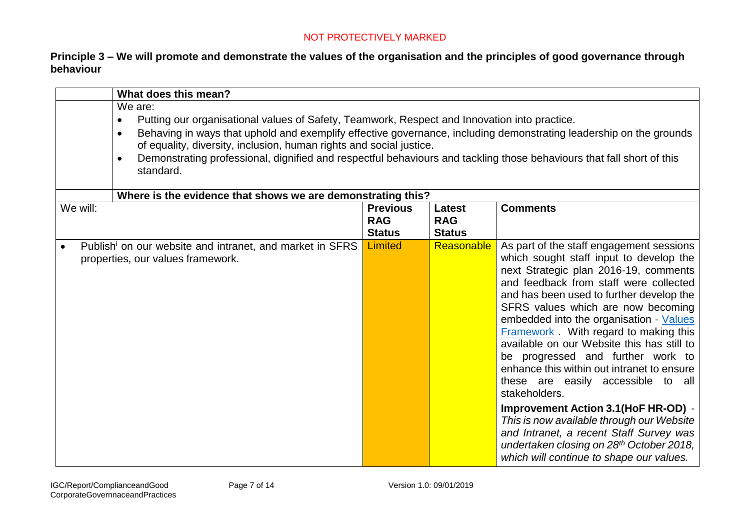# **Principle 3 – We will promote and demonstrate the values of the organisation and the principles of good governance through behaviour**

| What does this mean?                                                                                                                                                                  |                                                                                                                                                                                                                                                                                                                                                                                                                    |            |                                                                                                                                                                                                                                                                                                                                                                                                                                                                                                                                                                                                                                                                                                                                                                                         |  |  |  |
|---------------------------------------------------------------------------------------------------------------------------------------------------------------------------------------|--------------------------------------------------------------------------------------------------------------------------------------------------------------------------------------------------------------------------------------------------------------------------------------------------------------------------------------------------------------------------------------------------------------------|------------|-----------------------------------------------------------------------------------------------------------------------------------------------------------------------------------------------------------------------------------------------------------------------------------------------------------------------------------------------------------------------------------------------------------------------------------------------------------------------------------------------------------------------------------------------------------------------------------------------------------------------------------------------------------------------------------------------------------------------------------------------------------------------------------------|--|--|--|
| We are:<br>$\bullet$<br>$\bullet$<br>$\bullet$<br>standard.                                                                                                                           | Putting our organisational values of Safety, Teamwork, Respect and Innovation into practice.<br>Behaving in ways that uphold and exemplify effective governance, including demonstrating leadership on the grounds<br>of equality, diversity, inclusion, human rights and social justice.<br>Demonstrating professional, dignified and respectful behaviours and tackling those behaviours that fall short of this |            |                                                                                                                                                                                                                                                                                                                                                                                                                                                                                                                                                                                                                                                                                                                                                                                         |  |  |  |
| Where is the evidence that shows we are demonstrating this?<br>We will:<br><b>Previous</b><br><b>Comments</b><br>Latest<br><b>RAG</b><br><b>RAG</b><br><b>Status</b><br><b>Status</b> |                                                                                                                                                                                                                                                                                                                                                                                                                    |            |                                                                                                                                                                                                                                                                                                                                                                                                                                                                                                                                                                                                                                                                                                                                                                                         |  |  |  |
| Publish <sup>i</sup> on our website and intranet, and market in SFRS<br>$\bullet$<br>properties, our values framework.                                                                | <b>Limited</b>                                                                                                                                                                                                                                                                                                                                                                                                     | Reasonable | As part of the staff engagement sessions<br>which sought staff input to develop the<br>next Strategic plan 2016-19, comments<br>and feedback from staff were collected<br>and has been used to further develop the<br>SFRS values which are now becoming<br>embedded into the organisation - Values<br><b>Framework</b> . With regard to making this<br>available on our Website this has still to<br>be progressed and further work to<br>enhance this within out intranet to ensure<br>these are easily accessible to all<br>stakeholders.<br><b>Improvement Action 3.1 (HoF HR-OD) -</b><br>This is now available through our Website<br>and Intranet, a recent Staff Survey was<br>undertaken closing on 28 <sup>th</sup> October 2018,<br>which will continue to shape our values. |  |  |  |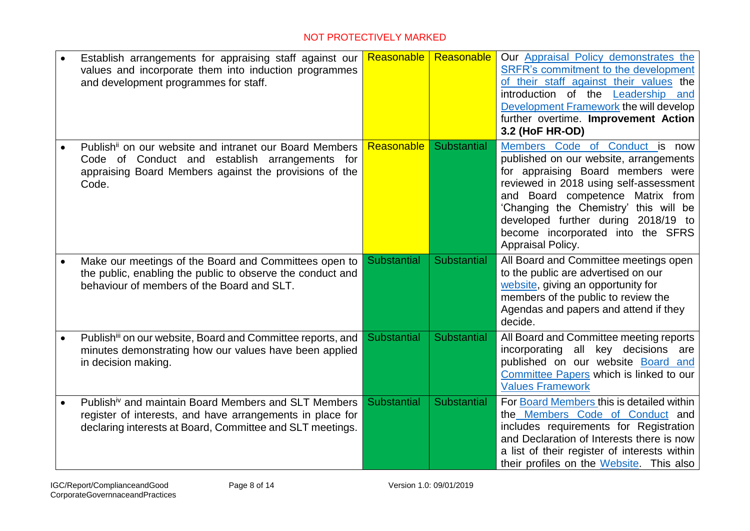|           | Establish arrangements for appraising staff against our<br>values and incorporate them into induction programmes<br>and development programmes for staff.                                  |                    | Reasonable   Reasonable | Our Appraisal Policy demonstrates the<br>SRFR's commitment to the development<br>of their staff against their values the<br>introduction of the Leadership and<br>Development Framework the will develop<br>further overtime. Improvement Action<br>3.2 (HoF HR-OD)                                                                   |
|-----------|--------------------------------------------------------------------------------------------------------------------------------------------------------------------------------------------|--------------------|-------------------------|---------------------------------------------------------------------------------------------------------------------------------------------------------------------------------------------------------------------------------------------------------------------------------------------------------------------------------------|
|           | Publish <sup>ii</sup> on our website and intranet our Board Members<br>Code of Conduct and establish arrangements for<br>appraising Board Members against the provisions of the<br>Code.   | Reasonable         | Substantial             | Members Code of Conduct is now<br>published on our website, arrangements<br>for appraising Board members were<br>reviewed in 2018 using self-assessment<br>and Board competence Matrix from<br>'Changing the Chemistry' this will be<br>developed further during 2018/19 to<br>become incorporated into the SFRS<br>Appraisal Policy. |
|           | Make our meetings of the Board and Committees open to<br>the public, enabling the public to observe the conduct and<br>behaviour of members of the Board and SLT.                          | <b>Substantial</b> | <b>Substantial</b>      | All Board and Committee meetings open<br>to the public are advertised on our<br>website, giving an opportunity for<br>members of the public to review the<br>Agendas and papers and attend if they<br>decide.                                                                                                                         |
| $\bullet$ | Publishiii on our website, Board and Committee reports, and<br>minutes demonstrating how our values have been applied<br>in decision making.                                               | <b>Substantial</b> | Substantial             | All Board and Committee meeting reports<br>incorporating all key decisions<br>are<br>published on our website Board and<br>Committee Papers which is linked to our<br><b>Values Framework</b>                                                                                                                                         |
|           | Publish <sup>iv</sup> and maintain Board Members and SLT Members<br>register of interests, and have arrangements in place for<br>declaring interests at Board, Committee and SLT meetings. | <b>Substantial</b> | <b>Substantial</b>      | For Board Members this is detailed within<br>the Members Code of Conduct and<br>includes requirements for Registration<br>and Declaration of Interests there is now<br>a list of their register of interests within<br>their profiles on the Website. This also                                                                       |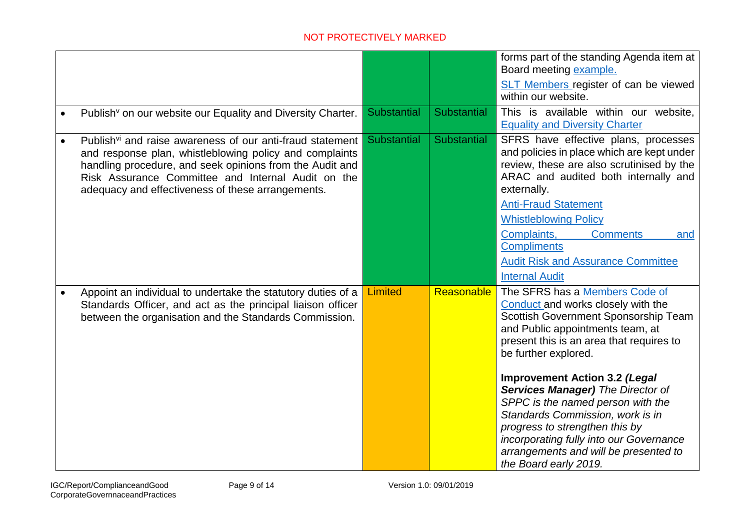|           |                                                                                                                                                                                                                                                                                                         |                    |                    | forms part of the standing Agenda item at<br>Board meeting example.<br><b>SLT Members register of can be viewed</b><br>within our website.                                                                                                                                                                                                                                                                                                                                                                                       |
|-----------|---------------------------------------------------------------------------------------------------------------------------------------------------------------------------------------------------------------------------------------------------------------------------------------------------------|--------------------|--------------------|----------------------------------------------------------------------------------------------------------------------------------------------------------------------------------------------------------------------------------------------------------------------------------------------------------------------------------------------------------------------------------------------------------------------------------------------------------------------------------------------------------------------------------|
|           | Publish <sup>v</sup> on our website our Equality and Diversity Charter.                                                                                                                                                                                                                                 | Substantial        | Substantial        | This is available within our website,<br><b>Equality and Diversity Charter</b>                                                                                                                                                                                                                                                                                                                                                                                                                                                   |
| $\bullet$ | Publish <sup>vi</sup> and raise awareness of our anti-fraud statement<br>and response plan, whistleblowing policy and complaints<br>handling procedure, and seek opinions from the Audit and<br>Risk Assurance Committee and Internal Audit on the<br>adequacy and effectiveness of these arrangements. | <b>Substantial</b> | <b>Substantial</b> | SFRS have effective plans, processes<br>and policies in place which are kept under<br>review, these are also scrutinised by the<br>ARAC and audited both internally and<br>externally.<br><b>Anti-Fraud Statement</b><br><b>Whistleblowing Policy</b><br>Complaints,<br><b>Comments</b><br>and<br><b>Compliments</b><br><b>Audit Risk and Assurance Committee</b><br><b>Internal Audit</b>                                                                                                                                       |
|           | Appoint an individual to undertake the statutory duties of a<br>Standards Officer, and act as the principal liaison officer<br>between the organisation and the Standards Commission.                                                                                                                   | <b>Limited</b>     | Reasonable         | The SFRS has a Members Code of<br>Conduct and works closely with the<br>Scottish Government Sponsorship Team<br>and Public appointments team, at<br>present this is an area that requires to<br>be further explored.<br><b>Improvement Action 3.2 (Legal</b><br><b>Services Manager)</b> The Director of<br>SPPC is the named person with the<br>Standards Commission, work is in<br>progress to strengthen this by<br>incorporating fully into our Governance<br>arrangements and will be presented to<br>the Board early 2019. |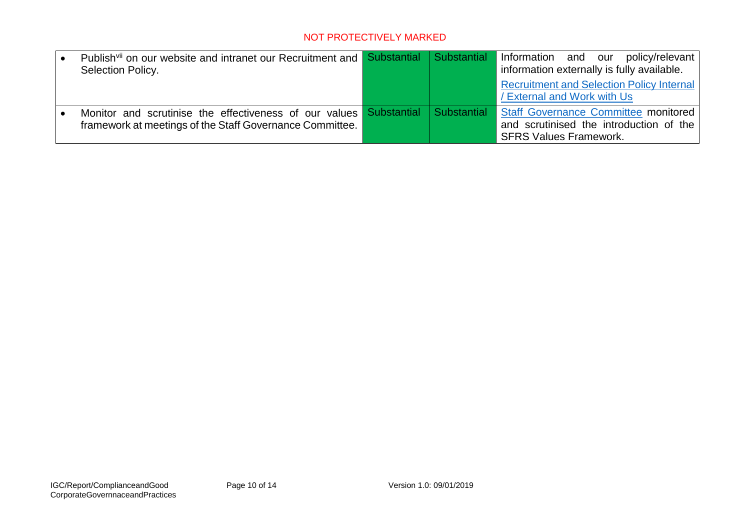| Publish <sup>vii</sup> on our website and intranet our Recruitment and <b>Substantial Substantial</b> |  | Information and our<br>policy/relevant  <br>information externally is fully available. |
|-------------------------------------------------------------------------------------------------------|--|----------------------------------------------------------------------------------------|
| Selection Policy.                                                                                     |  |                                                                                        |
|                                                                                                       |  | <b>Recruitment and Selection Policy Internal</b>                                       |
|                                                                                                       |  | / External and Work with Us                                                            |
| Monitor and scrutinise the effectiveness of our values Substantial Substantial                        |  | Staff Governance Committee monitored                                                   |
| framework at meetings of the Staff Governance Committee.                                              |  | and scrutinised the introduction of the                                                |
|                                                                                                       |  | <b>SFRS Values Framework.</b>                                                          |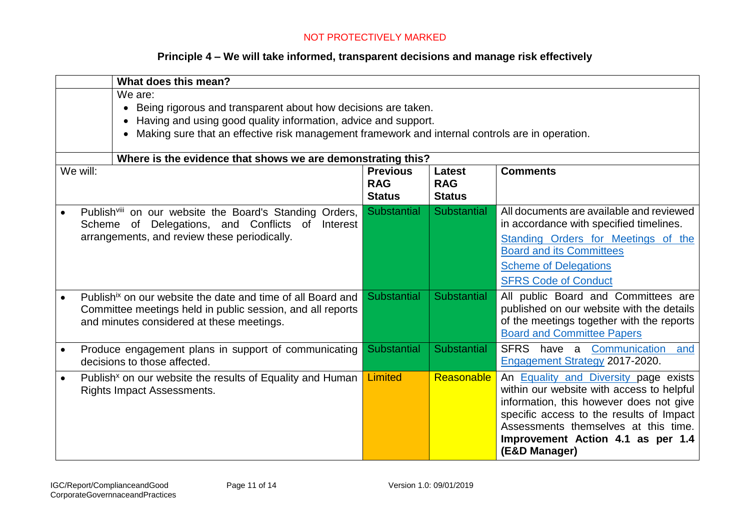# **Principle 4 – We will take informed, transparent decisions and manage risk effectively**

|                                                                                                                        | What does this mean?                                                                                                                                                                                                                                                    |                    |                    |                                                                                                                                                                                                                                                                                |  |  |  |
|------------------------------------------------------------------------------------------------------------------------|-------------------------------------------------------------------------------------------------------------------------------------------------------------------------------------------------------------------------------------------------------------------------|--------------------|--------------------|--------------------------------------------------------------------------------------------------------------------------------------------------------------------------------------------------------------------------------------------------------------------------------|--|--|--|
|                                                                                                                        | We are:<br>Being rigorous and transparent about how decisions are taken.<br>$\bullet$<br>Having and using good quality information, advice and support.<br>$\bullet$<br>Making sure that an effective risk management framework and internal controls are in operation. |                    |                    |                                                                                                                                                                                                                                                                                |  |  |  |
|                                                                                                                        | Where is the evidence that shows we are demonstrating this?                                                                                                                                                                                                             |                    |                    |                                                                                                                                                                                                                                                                                |  |  |  |
| We will:<br><b>Previous</b><br><b>Comments</b><br>Latest<br><b>RAG</b><br><b>RAG</b><br><b>Status</b><br><b>Status</b> |                                                                                                                                                                                                                                                                         |                    |                    |                                                                                                                                                                                                                                                                                |  |  |  |
|                                                                                                                        | Publishviii on our website the Board's Standing Orders,<br>Scheme of Delegations, and Conflicts of<br>Interest<br>arrangements, and review these periodically.                                                                                                          | Substantial        | <b>Substantial</b> | All documents are available and reviewed<br>in accordance with specified timelines.<br>Standing Orders for Meetings of the<br><b>Board and its Committees</b><br><b>Scheme of Delegations</b><br><b>SFRS Code of Conduct</b>                                                   |  |  |  |
| $\bullet$                                                                                                              | Publish <sup>ix</sup> on our website the date and time of all Board and<br>Committee meetings held in public session, and all reports<br>and minutes considered at these meetings.                                                                                      | <b>Substantial</b> | Substantial        | All public Board and Committees are<br>published on our website with the details<br>of the meetings together with the reports<br><b>Board and Committee Papers</b>                                                                                                             |  |  |  |
| $\bullet$                                                                                                              | Produce engagement plans in support of communicating<br>decisions to those affected.                                                                                                                                                                                    | <b>Substantial</b> | <b>Substantial</b> | SFRS have a Communication and<br>Engagement Strategy 2017-2020.                                                                                                                                                                                                                |  |  |  |
| $\bullet$                                                                                                              | Publish <sup>x</sup> on our website the results of Equality and Human<br><b>Rights Impact Assessments.</b>                                                                                                                                                              | <b>Limited</b>     | Reasonable         | An <b>Equality and Diversity page exists</b><br>within our website with access to helpful<br>information, this however does not give<br>specific access to the results of Impact<br>Assessments themselves at this time.<br>Improvement Action 4.1 as per 1.4<br>(E&D Manager) |  |  |  |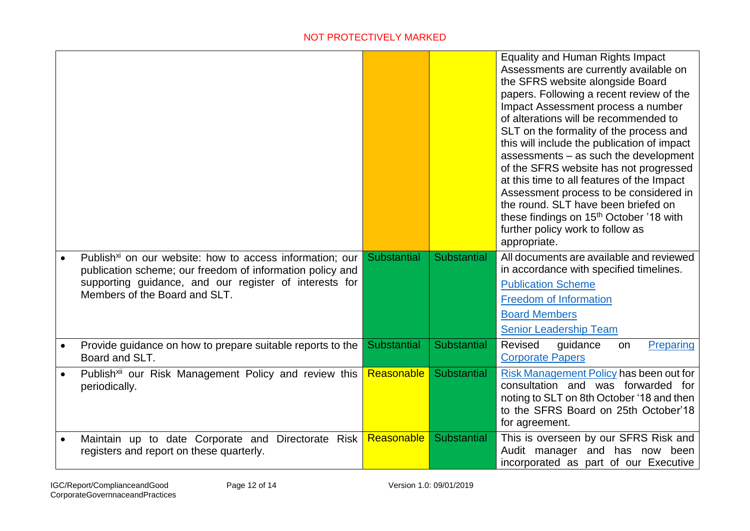|                                                                                                                                   |                    |                    | Equality and Human Rights Impact<br>Assessments are currently available on<br>the SFRS website alongside Board<br>papers. Following a recent review of the<br>Impact Assessment process a number<br>of alterations will be recommended to<br>SLT on the formality of the process and<br>this will include the publication of impact<br>assessments - as such the development<br>of the SFRS website has not progressed<br>at this time to all features of the Impact<br>Assessment process to be considered in<br>the round. SLT have been briefed on<br>these findings on 15 <sup>th</sup> October '18 with<br>further policy work to follow as<br>appropriate. |
|-----------------------------------------------------------------------------------------------------------------------------------|--------------------|--------------------|------------------------------------------------------------------------------------------------------------------------------------------------------------------------------------------------------------------------------------------------------------------------------------------------------------------------------------------------------------------------------------------------------------------------------------------------------------------------------------------------------------------------------------------------------------------------------------------------------------------------------------------------------------------|
| Publish <sup>xi</sup> on our website: how to access information; our<br>publication scheme; our freedom of information policy and | <b>Substantial</b> | <b>Substantial</b> | All documents are available and reviewed<br>in accordance with specified timelines.                                                                                                                                                                                                                                                                                                                                                                                                                                                                                                                                                                              |
| supporting guidance, and our register of interests for<br>Members of the Board and SLT.                                           |                    |                    | <b>Publication Scheme</b><br><b>Freedom of Information</b>                                                                                                                                                                                                                                                                                                                                                                                                                                                                                                                                                                                                       |
|                                                                                                                                   |                    |                    | <b>Board Members</b>                                                                                                                                                                                                                                                                                                                                                                                                                                                                                                                                                                                                                                             |
|                                                                                                                                   |                    |                    | <b>Senior Leadership Team</b>                                                                                                                                                                                                                                                                                                                                                                                                                                                                                                                                                                                                                                    |
| Provide guidance on how to prepare suitable reports to the<br>Board and SLT.                                                      | <b>Substantial</b> | Substantial        | Revised<br>Preparing<br>quidance<br>on<br><b>Corporate Papers</b>                                                                                                                                                                                                                                                                                                                                                                                                                                                                                                                                                                                                |
| Publish <sup>xii</sup> our Risk Management Policy and review this<br>periodically.                                                | Reasonable         | Substantial        | Risk Management Policy has been out for<br>consultation and was forwarded for<br>noting to SLT on 8th October '18 and then<br>to the SFRS Board on 25th October'18<br>for agreement.                                                                                                                                                                                                                                                                                                                                                                                                                                                                             |
| Maintain up to date Corporate and Directorate Risk<br>registers and report on these quarterly.                                    | Reasonable         | Substantial        | This is overseen by our SFRS Risk and<br>Audit manager and has now been<br>incorporated as part of our Executive                                                                                                                                                                                                                                                                                                                                                                                                                                                                                                                                                 |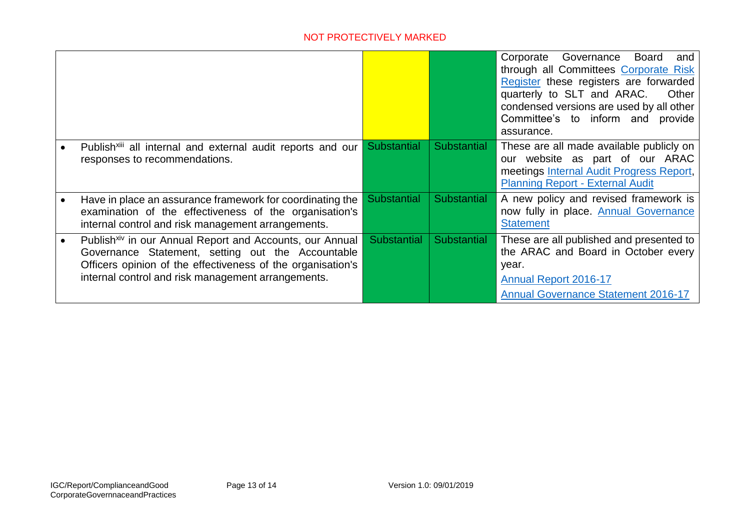|                                                                                                                                                                                                                                                |                    |             | Board<br>Corporate<br>Governance<br>and<br>through all Committees Corporate Risk<br>Register these registers are forwarded<br>quarterly to SLT and ARAC.<br>Other<br>condensed versions are used by all other<br>Committee's to inform and<br>provide<br>assurance. |
|------------------------------------------------------------------------------------------------------------------------------------------------------------------------------------------------------------------------------------------------|--------------------|-------------|---------------------------------------------------------------------------------------------------------------------------------------------------------------------------------------------------------------------------------------------------------------------|
| Publish <sup>xiii</sup> all internal and external audit reports and our<br>responses to recommendations.                                                                                                                                       | <b>Substantial</b> | Substantial | These are all made available publicly on<br>our website as part of our ARAC<br>meetings Internal Audit Progress Report,<br><b>Planning Report - External Audit</b>                                                                                                  |
| Have in place an assurance framework for coordinating the<br>examination of the effectiveness of the organisation's<br>internal control and risk management arrangements.                                                                      | <b>Substantial</b> | Substantial | A new policy and revised framework is<br>now fully in place. Annual Governance<br><b>Statement</b>                                                                                                                                                                  |
| Publish <sup>xiv</sup> in our Annual Report and Accounts, our Annual<br>Governance Statement, setting out the Accountable<br>Officers opinion of the effectiveness of the organisation's<br>internal control and risk management arrangements. | <b>Substantial</b> | Substantial | These are all published and presented to<br>the ARAC and Board in October every<br>year.<br><b>Annual Report 2016-17</b><br><b>Annual Governance Statement 2016-17</b>                                                                                              |